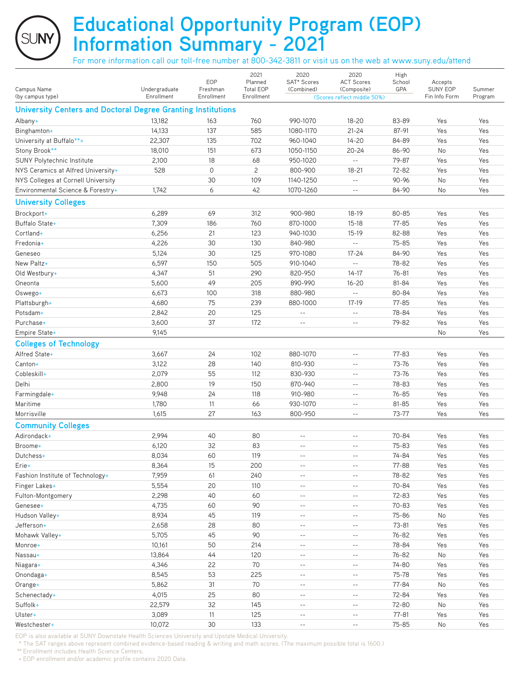**Educational Opportunity Program (EOP) Information Summary - 2021**

For more information call our toll-free number at 800-342-3811 or visit us on the web at www.suny.edu/attend

|                                                              |                             |                        | 2021                           | 2020                       | 2020                                          | High      |                           |                   |
|--------------------------------------------------------------|-----------------------------|------------------------|--------------------------------|----------------------------|-----------------------------------------------|-----------|---------------------------|-------------------|
|                                                              |                             | EOP                    | Planned                        | SAT* Scores                | <b>ACT Scores</b>                             | School    | Accepts                   |                   |
| Campus Name<br>(by campus type)                              | Undergraduate<br>Enrollment | Freshman<br>Enrollment | <b>Total EOP</b><br>Enrollment | (Combined)                 | (Composite)<br>(Scores reflect middle 50%)    | GPA       | SUNY EOP<br>Fin Info Form | Summer<br>Program |
| University Centers and Doctoral Degree Granting Institutions |                             |                        |                                |                            |                                               |           |                           |                   |
|                                                              |                             |                        |                                |                            |                                               |           |                           |                   |
| Albany+                                                      | 13,182                      | 163                    | 760                            | 990-1070                   | $18 - 20$                                     | 83-89     | Yes                       | Yes               |
| Binghamton+                                                  | 14,133                      | 137                    | 585                            | 1080-1170                  | $21 - 24$                                     | 87-91     | Yes                       | Yes               |
| University at Buffalo**+                                     | 22,307                      | 135                    | 702                            | 960-1040                   | $14 - 20$                                     | 84-89     | Yes                       | Yes               |
| Stony Brook**                                                | 18,010                      | 151                    | 673                            | 1050-1150                  | $20 - 24$                                     | 86-90     | No                        | Yes               |
| SUNY Polytechnic Institute                                   | 2,100                       | 18                     | 68                             | 950-1020                   | $\sim$ $\sim$                                 | 79-87     | Yes                       | Yes               |
| NYS Ceramics at Alfred University+                           | 528                         | 0                      | $\overline{c}$                 | 800-900                    | $18 - 21$                                     | 72-82     | Yes                       | Yes               |
| NYS Colleges at Cornell University                           |                             | 30                     | 109                            | 1140-1250                  | $\overline{a}$                                | 90-96     | No                        | Yes               |
| Environmental Science & Forestry+                            | 1,742                       | 6                      | 42                             | 1070-1260                  | $\sim$ $-$                                    | 84-90     | No                        | Yes               |
| <b>University Colleges</b>                                   |                             |                        |                                |                            |                                               |           |                           |                   |
| Brockport+                                                   | 6,289                       | 69                     | 312                            | 900-980                    | 18-19                                         | 80-85     | Yes                       | Yes               |
| Buffalo State+                                               | 7,309                       | 186                    | 760                            | 870-1000                   | $15-18$                                       | 77-85     | Yes                       | Yes               |
| Cortland+                                                    | 6,256                       | 21                     | 123                            | 940-1030                   | $15-19$                                       | 82-88     | Yes                       | Yes               |
| Fredonia+                                                    | 4,226                       | 30                     | 130                            | 840-980                    | $\sim$ $\sim$                                 | $75 - 85$ | Yes                       | Yes               |
| Geneseo                                                      | 5,124                       | 30                     | 125                            | 970-1080                   | $17 - 24$                                     | 84-90     | Yes                       | Yes               |
| New Paltz+                                                   | 6,597                       | 150                    | 505                            | 910-1040                   | $\mathord{\hspace{1pt}\text{--}\hspace{1pt}}$ | 78-82     | Yes                       | Yes               |
| Old Westbury+                                                | 4,347                       | 51                     | 290                            | 820-950                    | $14 - 17$                                     | $76 - 81$ | Yes                       | Yes               |
| Oneonta                                                      | 5,600                       | 49                     | 205                            | 890-990                    | $16 - 20$                                     | 81-84     | Yes                       | Yes               |
| Oswego+                                                      | 6,673                       | 100                    | 318                            | 880-980                    | $\sim$ $\sim$                                 | 80-84     | Yes                       | Yes               |
| Plattsburgh+                                                 | 4,680                       | 75                     | 239                            | 880-1000                   | $17-19$                                       | $77 - 85$ | Yes                       | Yes               |
| Potsdam+                                                     | 2,842                       | 20                     | 125                            | $- -$                      | $\sim$ $-$                                    | 78-84     | Yes                       | Yes               |
| Purchase+                                                    | 3,600                       | 37                     | 172                            | $\sim$ $-$                 | $\sim$ $-$                                    | 79-82     | Yes                       | Yes               |
| Empire State+                                                | 9,145                       |                        |                                |                            |                                               |           | No                        | Yes               |
| <b>Colleges of Technology</b>                                |                             |                        |                                |                            |                                               |           |                           |                   |
| Alfred State+                                                | 3,667                       | 24                     | 102                            | 880-1070                   | $\overline{\phantom{m}}$                      | 77-83     | Yes                       | Yes               |
| Canton+                                                      | 3,122                       | 28                     | 140                            | 810-930                    | $-$                                           | 73-76     | Yes                       | Yes               |
| Cobleskill+                                                  | 2,079                       | 55                     | 112                            | 830-930                    | $\sim$ $-$                                    | 73-76     | Yes                       | Yes               |
| Delhi                                                        | 2,800                       | 19                     | 150                            | 870-940                    | $- -$                                         | 78-83     | Yes                       | Yes               |
| Farmingdale+                                                 | 9,948                       | 24                     | 118                            | 910-980                    | $ -$                                          | $76 - 85$ | Yes                       | Yes               |
| Maritime                                                     | 1,780                       | 11                     | 66                             | 930-1070                   | $ -$                                          | 81-85     | Yes                       | Yes               |
| Morrisville                                                  | 1,615                       | 27                     | 163                            | 800-950                    | $\sim$ $-$                                    | 73-77     | Yes                       | Yes               |
| <b>Community Colleges</b>                                    |                             |                        |                                |                            |                                               |           |                           |                   |
| Adirondack+                                                  | 2,994                       | 40                     | 80                             | $-$                        | $\overline{a}$                                | 70-84     | Yes                       | Yes               |
| Broome+                                                      | 6,120                       | 32                     | 83                             | $-$                        | $-$                                           | 75-83     | Yes                       | Yes               |
| Dutchess+                                                    | 8,034                       | 60                     | 119                            | $\sim$ $-$                 | $\sim$ $-$                                    | 74-84     | Yes                       | Yes               |
| Erie+                                                        | 8,364                       | 15                     | 200                            | $- -$                      | $- -$                                         | 77-88     | Yes                       | Yes               |
| Fashion Institute of Technology+                             | 7,959                       | 61                     | 240                            | $\qquad \qquad -$          | $ -$                                          | 78-82     | Yes                       | Yes               |
| Finger Lakes+                                                | 5,554                       | 20                     | 110                            | $ -$                       | $ -$                                          | 70-84     | Yes                       | Yes               |
| Fulton-Montgomery                                            | 2,298                       | 40                     | 60                             | $ -$                       | $- \, -$                                      | 72-83     | Yes                       | Yes               |
| Genesee+                                                     | 4,735                       | 60                     | 90                             | $\sim$ $-$                 | $ -$                                          | 70-83     | Yes                       | Yes               |
| Hudson Valley+                                               | 8,934                       | 45                     | 119                            | $\overline{\phantom{m}}$ . | $ -$                                          | 75-86     | No                        | Yes               |
| Jefferson+                                                   | 2,658                       | 28                     | 80                             | $\sim$ $-$                 | $ -$                                          | $73 - 81$ | Yes                       | Yes               |
| Mohawk Valley+                                               | 5,705                       | 45                     | 90                             | $- -$                      | $ -$                                          | 76-82     | Yes                       | Yes               |
| Monroe+                                                      | 10,161                      | 50                     | 214                            | $ -$                       | $ -$                                          | 78-84     | Yes                       | Yes               |
| Nassau+                                                      | 13,864                      | 44                     | 120                            | $\sim$ $-$                 | $\sim$ $-$                                    | 76-82     | No                        | Yes               |
| Niagara+                                                     | 4,346                       | 22                     | 70                             | $\sim$ $-$                 | $\sim$ $-$                                    | 74-80     | Yes                       | Yes               |
| Onondaga+                                                    | 8,545                       | 53                     | 225                            | $ -$                       | $ -$                                          | 75-78     | Yes                       | Yes               |
| Orange+                                                      | 5,862                       | 31                     | 70                             | $ -$                       | $ -$                                          | 77-84     | No                        | Yes               |
| Schenectady+                                                 | 4,015                       | 25                     | 80                             | $- -$                      | $ -$                                          | 72-84     | Yes                       | Yes               |
| Suffolk+                                                     | 22,579                      | 32                     | 145                            | $\sim$ $-$                 | $ -$                                          | 72-80     | No                        | Yes               |
| Ulster+                                                      | 3,089                       | 11                     | 125                            | $ -$                       | $- -$                                         | $77 - 81$ | Yes                       | Yes               |
| Westchester+                                                 | 10,072                      | 30                     | 133                            | $\sim$ $-$                 | $\sim$ $-$                                    | $75 - 85$ | No                        | Yes               |

EOP is also available at SUNY Downstate Health Sciences University and Upstate Medical University.

\* The SAT ranges above represent combined evidence-based reading & writing and math scores. (The maximum possible total is 1600.)

\*\* Enrollment includes Health Science Centers.

+ EOP enrollment and/or academic profile contains 2020 Data.